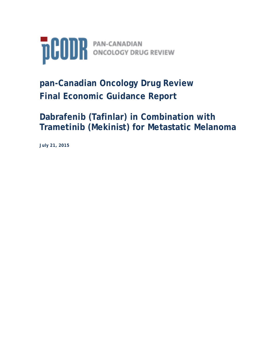

# **pan-Canadian Oncology Drug Review Final Economic Guidance Report**

**Dabrafenib (Tafinlar) in Combination with Trametinib (Mekinist) for Metastatic Melanoma**

**July 21, 2015**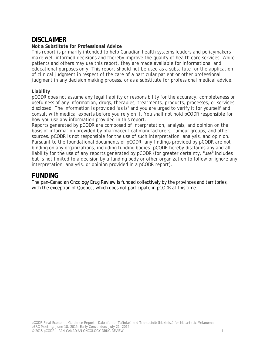# **DISCLAIMER**

#### **Not a Substitute for Professional Advice**

This report is primarily intended to help Canadian health systems leaders and policymakers make well-informed decisions and thereby improve the quality of health care services. While patients and others may use this report, they are made available for informational and educational purposes only. This report should not be used as a substitute for the application of clinical judgment in respect of the care of a particular patient or other professional judgment in any decision making process, or as a substitute for professional medical advice.

#### **Liability**

pCODR does not assume any legal liability or responsibility for the accuracy, completeness or usefulness of any information, drugs, therapies, treatments, products, processes, or services disclosed. The information is provided "as is" and you are urged to verify it for yourself and consult with medical experts before you rely on it. You shall not hold pCODR responsible for how you use any information provided in this report.

Reports generated by pCODR are composed of interpretation, analysis, and opinion on the basis of information provided by pharmaceutical manufacturers, tumour groups, and other sources. pCODR is not responsible for the use of such interpretation, analysis, and opinion. Pursuant to the foundational documents of pCODR, any findings provided by pCODR are not binding on any organizations, including funding bodies. pCODR hereby disclaims any and all liability for the use of any reports generated by pCODR (for greater certainty, "use" includes but is not limited to a decision by a funding body or other organization to follow or ignore any interpretation, analysis, or opinion provided in a pCODR report).

### **FUNDING**

The pan-Canadian Oncology Drug Review is funded collectively by the provinces and territories, with the exception of Quebec, which does not participate in pCODR at this time.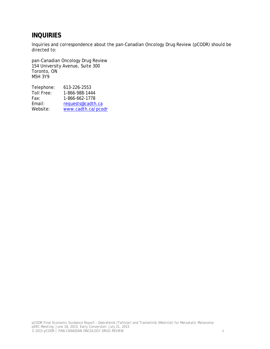# **INQUIRIES**

Inquiries and correspondence about the pan-Canadian Oncology Drug Review (pCODR) should be directed to:

pan-Canadian Oncology Drug Review 154 University Avenue, Suite 300 Toronto, ON M5H 3Y9

| Telephone: | 613-226-2553       |
|------------|--------------------|
| Toll Free: | 1-866-988-1444     |
| Fax:       | 1-866-662-1778     |
| Email:     | requests@cadth.ca  |
| Website:   | www.cadth.ca/pcodr |
|            |                    |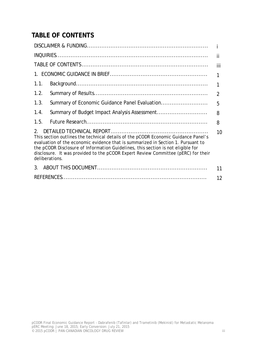# **TABLE OF CONTENTS**

|                                                                                                                                                                                                                                                                                                                                                                   | ji             |  |  |  |  |  |  |
|-------------------------------------------------------------------------------------------------------------------------------------------------------------------------------------------------------------------------------------------------------------------------------------------------------------------------------------------------------------------|----------------|--|--|--|--|--|--|
|                                                                                                                                                                                                                                                                                                                                                                   | iii            |  |  |  |  |  |  |
|                                                                                                                                                                                                                                                                                                                                                                   | $\mathbf{1}$   |  |  |  |  |  |  |
| 1.1.                                                                                                                                                                                                                                                                                                                                                              | 1              |  |  |  |  |  |  |
| 1.2.                                                                                                                                                                                                                                                                                                                                                              | $\overline{2}$ |  |  |  |  |  |  |
| 1.3.                                                                                                                                                                                                                                                                                                                                                              | 5              |  |  |  |  |  |  |
| 1.4.                                                                                                                                                                                                                                                                                                                                                              | 8              |  |  |  |  |  |  |
| 1.5.                                                                                                                                                                                                                                                                                                                                                              | 8              |  |  |  |  |  |  |
| This section outlines the technical details of the pCODR Economic Guidance Panel's<br>evaluation of the economic evidence that is summarized in Section 1. Pursuant to<br>the pCODR Disclosure of Information Guidelines, this section is not eligible for<br>disclosure. It was provided to the pCODR Expert Review Committee (pERC) for their<br>deliberations. |                |  |  |  |  |  |  |
| 3.                                                                                                                                                                                                                                                                                                                                                                | 11             |  |  |  |  |  |  |
|                                                                                                                                                                                                                                                                                                                                                                   | 12             |  |  |  |  |  |  |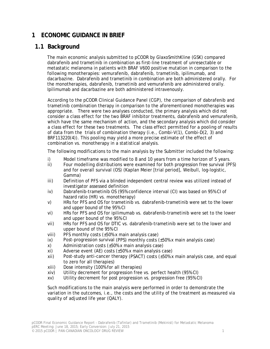# **1 ECONOMIC GUIDANCE IN BRIEF**

# **1.1 Background**

The main economic analysis submitted to pCODR by GlaxoSmithKline (GSK) compared dabrafenib and trametinib in combination as first-line treatment of unresectable or metastatic melanoma in patients with BRAF V600 positive mutation in comparison to the following monotherapies: vemurafenib, dabrafenib, trametinib, ipilimumab, and dacarbazine. Dabrafenib and trametinib in combination are both administered orally. For the monotherapies, dabrafenib, trametinib and vemurafenib are administered orally. Ipilimumab and dacarbazine are both administered intravenously.

According to the pCODR Clinical Guidance Panel (CGP), the comparison of dabrafenib and trametinib combination therapy in comparison to the aforementioned monotherapies was appropriate. There were two analyses conducted, the primary analysis which did not consider a class effect for the two BRAF inhibitor treatments, dabrafenib and vemurafenib, which have the same mechanism of action, and the secondary analysis which did consider a class effect for these two treatments. The class effect permitted for a pooling of results of data from the trials of combination therapy (i.e., Combi-V(1), Combi-D(2, 3) and BRF113220(4)). This pooling may yield a more precise estimate of the effect of combination vs. monotherapy in a statistical analysis.

The following modifications to the main analysis by the Submitter included the following:

- i) Model timeframe was modified to 8 and 10 years from a time horizon of 5 years.
- ii) Four modelling distributions were examined for both progression free survival (PFS) and for overall survival (OS) (Kaplan Meier [trial period], Weibull, log-logistic, Gamma)
- iii) Definition of PFS via a blinded independent central review was utilized instead of investigator assessed definition
- iv) Dabrafenib-trametinib OS (95% confidence interval (CI) was based on 95% CI of hazard ratio (HR) vs. monotherapy)
- v) HRs for PFS and OS for trametinib vs. dabrafenib-trametinib were set to the lower and upper bound of the 95% CI
- vi) HRs for PFS and OS for ipilimumab vs. dabrafenib-trametinib were set to the lower and upper bound of the 95% CI
- vii) HRs for PFS and OS for DTIC vs. dabrafenib-trametinib were set to the lower and upper bound of the 95% CI
- viii) PFS monthly costs  $(\pm 50\% \times \text{main analysis case})$
- ix) Post-progression survival (PPS) monthly costs (±50% x main analysis case)
- x) Administration costs (±50% x main analysis case)
- xi) Adverse event (AE) costs (±50% x main analysis case)
- $xii)$  Post-study anti-cancer therapy (PSACT) costs ( $\pm$ 50% x main analysis case, and equal to zero for all therapies)
- xiii) Dose intensity (100% for all therapies)
- xiv) Utility decrement for progression free vs. perfect health (95% CI)
- xv) Utility decrement for post progression vs. progression free (95% CI)

Such modifications to the main analysis were performed in order to demonstrate the variation in the outcomes, i.e., the costs and the utility of the treatment as measured via quality of adjusted life year (QALY).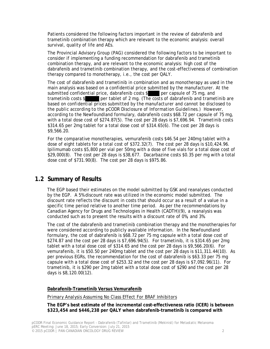Patients considered the following factors important in the review of dabrafenib and trametinib combination therapy which are relevant to the economic analysis: overall survival, quality of life and AEs.

The Provincial Advisory Group (PAG) considered the following factors to be important to consider if implementing a funding recommendation for dabrafenib and trametinib combination therapy, and are relevant to the economic analysis: high cost of the dabrafenib and trametinib combination therapy, and the cost-effectiveness of combination therapy compared to monotherapy, i.e., the cost per QALY.

The cost of dabrafenib and trametinib in combination and as monotherapy as used in the main analysis was based on a confidential price submitted by the manufacturer. At the submitted confidential price, dabrafenib costs \$ per capsule of 75 mg, and trametinib costs \$ per tablet of 2 mg. *(The costs of dabrafenib and trametinib are based on confidential prices submitted by the manufacturer and cannot be disclosed to the public according to the pCODR Disclosure of Information Guidelines.)* However, according to the Newfoundland formulary, dabrafenib costs \$68.72 per capsule of 75 mg, with a total dose cost of \$274.87(5). The cost per 28 days is \$7,696.94. Trametinib costs \$314.65 per 2mg tablet for a total dose cost of \$314.65(6). The cost per 28 days is \$9,566.20.

For the comparative monotherapies, vemurafenib costs \$46.54 per 240mg tablet with a dose of eight tablets for a total cost of \$372.32(7). The cost per 28 days is \$10,424.96. Ipilimumab costs \$5,800 per vial per 50mg with a dose of five vials for a total dose cost of \$29,000(8). The cost per 28 days is \$38,677. Dacarbazine costs \$0.35 per mg with a total dose cost of \$731.90(8). The cost per 28 days is \$975.86.

# **1.2 Summary of Results**

The EGP based their estimates on the model submitted by GSK and reanalyses conducted by the EGP.A 5% discount rate was utilized in the economic model submitted. The discount rate reflects the discount in costs that should occur as a result of a value in a specific time period relative to another time period. As per the recommendations by Canadian Agency for Drugs and Technologies in Health (CADTH)(9), a reanalysis was conducted such as to present the results with a discount rate of 0%, and 3%.

The cost of the dabrafenib and trametinib combination therapy and the monotherapies for were considered according to publicly available information. In the Newfoundland formulary, the cost of dabrafenib is \$68.72 per 75 mg capsule with a total dose cost of \$274.87 and the cost per 28 days is \$7,696.94(5). For trametinib, it is \$314.65 per 2mg tablet with a total dose cost of \$314.65 and the cost per 28 days is \$9,566.20(6). For vemurafenib, it is \$50.50 per 240mg tablet and the cost per 28 days is \$11,311.44(10). As per previous EGRs, the recommendation for the cost of dabrafenib is \$63.33 per 75 mg capsule with a total dose cost of \$253.32 and the cost per 28 days is \$7,092.96(11). For trametinib, it is \$290 per 2mg tablet with a total dose cost of \$290 and the cost per 28 days is \$8,120.00(12).

#### **Dabrafenib-Trametinib Versus Vemurafenib**

#### *Primary Analysis Assuming No Class Effect For BRAF Inhibitors*

**The EGP's best estimate of the incremental cost-effectiveness ratio (ICER) is between \$323,454 and \$446,238 per QALY when dabrafenib-trametinib is compared with**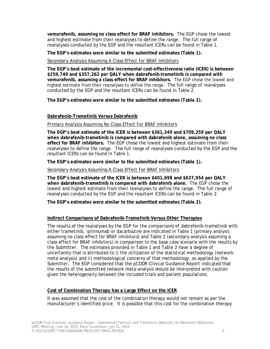**vemurafenib, assuming no class effect for BRAF inhibitors.** The EGP chose the lowest and highest estimate from their reanalyses to define the range. The full range of reanalyses conducted by the EGP and the resultant ICERs can be found in Table 1.

**The EGP's estimates were similar to the submitted estimates (Table 1).**

#### *Secondary Analysis Assuming A Class Effect for BRAF Inhibitors*

**The EGP's best estimate of the incremental cost-effectiveness ratio (ICER) is between \$259,749 and \$357,262 per QALY when dabrafenib-trametinib is compared with vemurafenib, assuming a class effect for BRAF inhibitors.** The EGP chose the lowest and highest estimate from their reanalyses to define the range. The full range of reanalyses conducted by the EGP and the resultant ICERs can be found in Table 2.

**The EGP's estimates were similar to the submitted estimates (Table 2).**

#### **Dabrafenib-Trametinib Versus Dabrafenib**

#### *Primary Analysis Assuming No Class Effect For BRAF Inhibitors*

**The EGP's best estimate of the ICER is between \$361,349 and \$709,259 per QALY when dabrafenib-trametinib is compared with dabrafenib alone, assuming no class effect for BRAF inhibitors.** The EGP chose the lowest and highest estimate from their reanalyses to define the range. The full range of reanalyses conducted by the EGP and the resultant ICERs can be found in Table 1.

**The EGP's estimates were similar to the submitted estimates (Table 1).**

#### *Secondary Analysis Assuming A Class Effect For BRAF Inhibitors*

**The EGP's best estimate of the ICER is between \$401,698 and \$637,954 per QALY when dabrafenib-trametinib is compared with dabrafenib alone.** The EGP chose the lowest and highest estimate from their reanalyses to define the range. The full range of reanalyses conducted by the EGP and the resultant ICERs can be found in Table 2.

**The EGP's estimates were similar to the submitted estimates (Table 2).**

#### **Indirect Comparisons of Dabrafenib-Trametinib Versus Other Therapies**

The results of the reanalyses by the EGP for the comparisons of dabrafenib-trametinib with either trametinib, ipilimumab or dacarbazine are indicated in Table 1 (primary analysis assuming no class effect for BRAF inhibitors) and Table 2 (secondary analysis assuming a class effect for BRAF inhibitors) in comparison to the base case scenario with the results by the Submitter. The estimates provided in Table 1 and Table 2 have a degree of uncertainty that is attributed to i) the utilization of the statistical methodology (network meta-analysis) and ii) methodological concerns of that methodology, as applied by the Submitter. The EGP considered that the pCODR Clinical Guidance Report indicated that the results of the submitted network meta-analysis should be interpreted with caution given the heterogeneity between the included trials and patient populations.

#### **Cost of Combination Therapy has a Large Effect on the ICER**

It was assumed that the cost of the combination therapy would not remain as per the manufacturer's identified price. It is possible that this cost for the combination therapy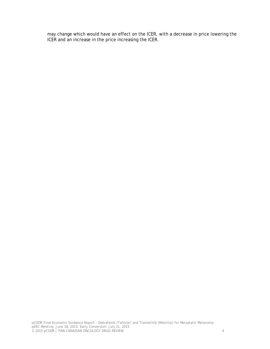may change which would have an effect on the ICER, with a decrease in price lowering the ICER and an increase in the price increasing the ICER.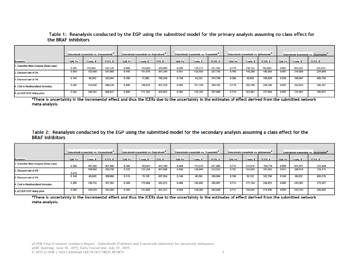|                                       | Dabrafenib-trametinib vs. Vemurafenib |           |          | Dabrafenib-trametinib vs. Dabrafenib <sup>"</sup> |           |           | Dabrafenib-trametinib vs. Trametinib" |           |                      |              | Dabrafenib-trametinib vs. Ipilimumab <sup>"</sup> |                 | Dabrafenib-trametinib vs. Dacarbazine |           |                      |
|---------------------------------------|---------------------------------------|-----------|----------|---------------------------------------------------|-----------|-----------|---------------------------------------|-----------|----------------------|--------------|---------------------------------------------------|-----------------|---------------------------------------|-----------|----------------------|
| <b>Scenario</b>                       | <b>QALYs</b>                          | Costs. \$ | ICER. \$ | <b>QALYs</b>                                      | Costs. \$ | $CER,$ \$ | <b>QALYs</b>                          | Costs. \$ | ICER <sub>, \$</sub> | <b>QALYs</b> | Costs. \$                                         | <b>ICER. \$</b> | <b>QALYs</b>                          | Costs, \$ | ICER <sub>, \$</sub> |
| . Submitter Main Analysis (Base-case) | 0.345                                 | 114,493   | 332,129  | 0.408                                             | 153,002   | 374,995   | 0.505                                 | 116,771   | 231,103              | 0.719        | 138,152                                           | 192.083         | 0887                                  | 205,332   | 231,612              |
| 2. Discount rate of 0%                | 0.369                                 | 122,556   | 331,869  | 0.448                                             | 161,870   | 361,349   | 0.551                                 | 125,559   | 227,735              | 0.786        | 149,299                                           | 189,935         | 0 967                                 | 216,698   | 224,088              |
| 3. Discount rate of 3%                | 0.142                                 | 46,052    | 323,454  | 0.109                                             | 77,002    | 709,259   | 0.156                                 | 43,232    | 276,799              | 0 206        | 38,853                                            | 188,828         | 0 256                                 | 104,047   | 405,756              |
| 4. Cost in Newfoundland formulary     | 0.345                                 | 153,830   | 446,238  | 0.408                                             | 186,676   | 457,529   | 0.505                                 | 151,159   | 299,162              | 0.719        | 185,799                                           | 258,330         | 0887                                  | 252,979   | 285,357              |
| 5. pCODR EGP listing price            | 0.345                                 | 140,242   | 406,823  | 0.408                                             | 171,202   | 419,602   | 0.505                                 | 135,353   | 267.880              | 0.719        | 163,901                                           | 227.884         | 0887                                  | 231.081   | 260,657              |

#### Table 1: Reanalysis conducted by the EGP using the submitted model for the primary analysis assuming no class effect for the BRAF inhibitors

\*There is uncertainty in the incremental effect and thus the ICERs due to the uncertainty in the estimates of effect derived from the submitted network meta-analysis.

Table 2: Reanalysis conducted by the EGP using the submitted model for the secondary analysis assuming a class effect for the **BRAF** inhibitors

|                                     |              | Dabrafenib-trametinib vs. Vemurafenib <sup>7</sup> |          | Dabrafenib-trametinib vs. Dabrafenib <sup>*</sup> |           |           | Dabrafenib-trametinib vs. Trametinib <sup>*</sup> |           |                      | Dabrafenib-trametinib vs. Ipilimumab <sup>n</sup> |           |          | Dabrafenib-trametinib vs. Dacarbazine |           |                      |
|-------------------------------------|--------------|----------------------------------------------------|----------|---------------------------------------------------|-----------|-----------|---------------------------------------------------|-----------|----------------------|---------------------------------------------------|-----------|----------|---------------------------------------|-----------|----------------------|
| <b>Scenario</b>                     | <b>QALYs</b> | Costs. \$                                          | ICER. \$ | <b>QALYs</b>                                      | Costs. \$ | $CER,$ \$ | <b>QALYs</b>                                      | Costs. \$ | ICER <sub>, \$</sub> | <b>QALYs</b>                                      | Costs. \$ | ICER. \$ | <b>QALYs</b>                          | Costs, \$ | ICER <sub>, \$</sub> |
| Submitter Main Analysis (Base-case) | 0.388        | 101.502                                            | 261,388  | 0 3 4 9                                           | 143,951   | 412.180   | 0.494                                             | 112.213   | 227.200              | 0.714                                             | 131.814   | 184.714  | 0889                                  | 197,372   | 221,948              |
| 2. Discount rate of 0%              | 0.419        | 108,850                                            | 259,749  | 0 379                                             | 152.254   | 401,698   | 0.540                                             | 120,848   | 223,832              | 0.782                                             | 142.644   | 182,482  | 0972                                  | 208,414   | 214,315              |
| 3. Discount rate of 3%              | 0.144        | 40,463                                             | 280,866  | 0.115                                             | 73,128    | 637,954   | 0.149                                             | 40,204    | 269,084              | 0.198                                             | 36,152    | 182,766  | 0 248                                 | 99,832    | 403,276              |
| 4. Cost in Newfoundland formulary   | 0.388        | 138,732                                            | 357,262  | 0 3 4 9                                           | 175,660   | 502,972   | 0.494                                             | 145,692   | 294,987              | 0.714                                             | 177.744   | 249,075  | 0889                                  | 243,301   | 273,597              |
| 5. pCODR EGP listing price          | 0.388        | 126.323                                            | 325,306  | 0 3 4 9                                           | 161.089   | 461,251   | 0.494                                             | 130.304   | 263,830              | 0.714                                             | 156,635   | 219,496  | 0889                                  | 222.193   | 249,860              |

\*There is uncertainty in the incremental effect and thus the ICERs due to the uncertainty in the estimates of effect derived from the submitted network meta-analysis.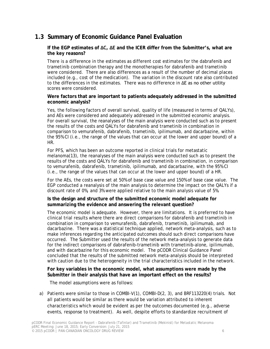# **1.3 Summary of Economic Guidance Panel Evaluation**

#### **If the EGP estimates of ΔC, ΔE and the ICER differ from the Submitter's, what are the key reasons?**

There is a difference in the estimates as different cost estimates for the dabrafenib and trametinib combination therapy and the monotherapies for dabrafenib and trametinib were considered. There are also differences as a result of the number of decimal places included (e.g., cost of the medication). The variation in the discount rate also contributed to the differences in the estimates. There was no difference in ΔE as no other utility scores were considered.

#### **Were factors that are important to patients adequately addressed in the submitted economic analysis?**

Yes, the following factors of overall survival, quality of life (measured in terms of QALYs), and AEs were considered and adequately addressed in the submitted economic analysis. For overall survival, the reanalyses of the main analysis were conducted such as to present the results of the costs and QALYs for dabrafenib and trametinib in combination in comparison to vemurafenib, dabrafenib, trametinib, ipilimumab, and dacarbazine, within the 95% CI (i.e., the range of the values that can occur at the lower and upper bound) of a HR.

For PFS, which has been an outcome reported in clinical trials for metastatic melanoma(13), the reanalyses of the main analysis were conducted such as to present the results of the costs and QALYs for dabrafenib and trametinib in combination, in comparison to vemurafenib, dabrafenib, trametinib, ipilimumab, and dacarbazine, with the 95% CI (i.e., the range of the values that can occur at the lower and upper bound) of a HR.

For the AEs, the costs were set at 50% of base case value and 150% of base case value. The EGP conducted a reanalysis of the main analysis to determine the impact on the QALYs if a discount rate of 0%, and 3% were applied relative to the main analysis value of 5%.

#### **Is the design and structure of the submitted economic model adequate for summarizing the evidence and answering the relevant question?**

The economic model is adequate. However, there are limitations. It is preferred to have clinical trial results where there are direct comparisons for dabrafenib and trametinib in combination in comparison to vemurafenib, dabrafenib, trametinib, ipilimumab, and dacarbazine. There was a statistical technique applied, network meta-analysis, such as to make inferences regarding the anticipated outcomes should such direct comparisons have occurred. The Submitter used the results of the network meta-analysis to generate data for the indirect comparisons of dabrafenib-trametinib with trametinib-alone, ipilimumab, and with dacarbazine for this economic model. The pCODR Clinical Guidance Panel concluded that the results of the submitted network meta-analysis should be interpreted with caution due to the heterogeneity in the trial characteristics included in the network.

#### **For key variables in the economic model, what assumptions were made by the Submitter in their analysis that have an important effect on the results?**

The model assumptions were as follows:

a) Patients were similar to those in COMBI-V(1), COMBI-D(2, 3), and BRF113220(4) trials. Not all patients would be similar as there would be variation attributed to inherent characteristics which would be evident as per the outcomes documented (e.g., adverse events, response to treatment). As well, despite efforts to standardize recruitment of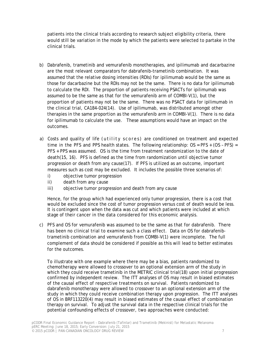patients into the clinical trials according to research subject eligibility criteria, there would still be variation in the mode by which the patients were selected to partake in the clinical trials.

- b) Dabrafenib, trametinib and vemurafenib monotherapies, and ipilimumab and dacarbazine are the most relevant comparators for dabrafenib-trametinib combination. It was assumed that the relative dosing intensities (RDIs) for ipilimumab would be the same as those for dacarbazine but the RDIs may not be the same. There is no data for ipilimumab to calculate the RDI. The proportion of patients receiving PSACTs for ipilimumab was assumed to be the same as that for the vemurafenib arm of COMBI-V(1), but the proportion of patients may not be the same. There was no PSACT data for ipilimumab in the clinical trial, CA184-024(14). Use of ipilimumab, was distributed amongst other therapies in the same proportion as the vemurafenib arm in COMBI-V(1). There is no data for ipilimumab to calculate the use. These assumptions would have an impact on the outcomes.
- a) Costs and quality of life (utility scores) are conditioned on treatment and expected time in the PFS and PPS health states. The following relationship:  $OS = PFS + (OS - PFS) =$ PFS + PPS was assumed. OS is the time from treatment randomization to the date of death(15, 16). PFS is defined as the time from randomization until objective tumor progression or death from any cause(17). If PFS is utilized as an outcome, important measures such as cost may be excluded. It includes the possible three scenarios of:
	- i) objective tumor progression
	- ii) death from any cause
	- iii) objective tumor progression and death from any cause

Hence, for the group which had experienced only tumor progression, there is a cost that would be excluded since the cost of tumor progression versus cost of death would be less. It is contingent upon when the data was cut and which patients were included at which stage of their cancer in the data considered for this economic analysis.

c) PFS and OS for vemurafenib was assumed to be the same as that for dabrafenib. There has been no clinical trial to examine such a class effect. Data on OS for dabrafenibtrametinib combination and vemurafenib from COMBI-V(1) were incomplete. The full complement of data should be considered if possible as this will lead to better estimates for the outcomes.

To illustrate with one example where there may be a bias, patients randomized to chemotherapy were allowed to crossover to an optional extension arm of the study in which they could receive trametinib in the METRIC clinical trial(18) upon initial progression confirmed by independent review. The ITT analyses of OS may result in biased estimates of the causal effect of respective treatments on survival. Patients randomized to dabrafenib monotherapy were allowed to crossover to an optional extension arm of the study in which they could receive combination therapy upon progression. The ITT analyses of OS in BRF113220(4) may result in biased estimates of the causal effect of combination therapy on survival. To adjust the survival data in the respective clinical trials for the potential confounding effects of crossover, two approaches were conducted: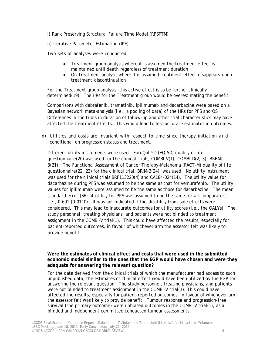i) Rank Preserving Structural Failure Time Model (RPSFTM)

ii) Iterative Parameter Estimation (IPE)

Two sets of analyses were conducted:

- Treatment group analysis where it is assumed the treatment effect is maintained until death regardless of treatment duration
- On Treatment analysis where it is assumed treatment effect disappears upon treatment discontinuation

For the Treatment group analysis, this active effect is to be further clinically determined(19). The HRs for the Treatment group would be overestimating the benefit.

Comparisons with dabrafenib, trametinib, ipilimumab and dacarbazine were based on a Bayesian network meta-analysis (i.e., a pooling of data) of the HRs for PFS and OS. Differences in the trials in duration of follow-up and other trial characteristics may have affected the treatment effects. This would lead to less accurate estimates in outcomes.

d) Utilities and costs are invariant with respect to time since therapy initiation and conditional on progression status and treatment.

Different utility instruments were used. EuroQol-5D (EQ-5D) quality of life questionnaire(20) was used for the clinical trials, COMBI-V(1), COMBI-D(2, 3), BREAK-3(21). The Functional Assessment of Cancer Therapy–Melanoma (FACT-M) quality of life questionnaire(22, 23) for the clinical trial, BRIM-3(24), was used. No utility instrument was used for the clinical trials BRF113220(4) and CA184-024(14). The utility value for dacarbazine during PFS was assumed to be the same as that for vemurafenib. The utility values for ipilimumab were assumed to be the same as those for dacarbazine. The mean standard error (SE) of utility for PPS was assumed to be the same for all comparators, i.e., 0.691 (0.0110). It was not indicated if the disutility from side effects were considered. This may lead to inaccurate outcomes for utility scores (i.e., the QALYs). The study personnel, treating physicians, and patients were not blinded to treatment assignment in the COMBI-V trial(1). This could have affected the results, especially for patient-reported outcomes, in favour of whichever arm the assessor felt was likely to provide benefit.

#### **Were the estimates of clinical effect and costs that were used in the submitted economic model similar to the ones that the EGP would have chosen and were they adequate for answering the relevant question?**

For the data derived from the clinical trials of which the manufacturer had access to such unpublished data, the estimates of clinical effect would have been utilized by the EGP for answering the relevant question. The study personnel, treating physicians, and patients were not blinded to treatment assignment in the COMBI-V trial(1). This could have affected the results, especially for patient-reported outcomes, in favour of whichever arm the assessor felt was likely to provide benefit. Tumour response and progression-free survival (the primary outcome) were unbiased outcomes in the COMBI-V trial(1), as a blinded and independent committee conducted tumour assessments.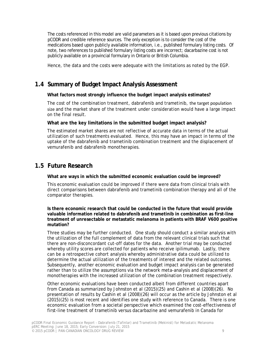The costs referenced in this model are valid parameters as it is based upon previous citations by pCODR and credible reference sources. The only exception is to consider the cost of the medications based upon publicly available information, i.e., published formulary listing costs. Of note, two references to published formulary listing costs are incorrect; dacarbazine cost is not publicly available on a provincial formulary in Ontario or British Columbia.

Hence, the data and the costs were adequate with the limitations as noted by the EGP.

# **1.4 Summary of Budget Impact Analysis Assessment**

#### **What factors most strongly influence the budget impact analysis estimates?**

The cost of the combination treatment, dabrafenib and trametinib, the target population size and the market share of the treatment under consideration would have a large impact on the final result.

#### **What are the key limitations in the submitted budget impact analysis?**

The estimated market shares are not reflective of accurate data in terms of the actual utilization of such treatments evaluated. Hence, this may have an impact in terms of the uptake of the dabrafenib and trametinib combination treatment and the displacement of vemurafenib and dabrafenib monotherapies.

## **1.5 Future Research**

**What are ways in which the submitted economic evaluation could be improved?**

This economic evaluation could be improved if there were data from clinical trials with direct comparisons between dabrafenib and trametinib combination therapy and all of the comparator therapies.

**Is there economic research that could be conducted in the future that would provide valuable information related to dabrafenib and trametinib in combination as first-line treatment of unresectable or metastatic melanoma in patients with BRAF V600 positive mutation?**

Three studies may be further conducted. One study should conduct a similar analysis with the utilization of the full complement of data from the relevant clinical trials such that there are non-disconcordant cut-off dates for the data. Another trial may be conducted whereby utility scores are collected for patients who receive ipilimumab. Lastly, there can be a retrospective cohort analysis whereby administrative data could be utilized to determine the actual utilization of the treatments of interest and the related outcomes. Subsequently, another economic evaluation and budget impact analysis can be generated rather than to utilize the assumptions via the network meta-analysis and displacement of monotherapies with the increased utilization of the combination treatment respectively.

Other economic evaluations have been conducted albeit from different countries apart from Canada as summarized by Johnston et al (2015)(25) and Cashin et al (2008)(26). No presentation of results by Cashin et al (2008)(26) will occur as the article by Johnston et al (2015)(25) is most recent and identifies one study with reference to Canada. There is one economic evaluation from a societal perspective which examined the cost-effectiveness of first-line treatment of trametinib versus dacarbazine and vemurafenib in Canada for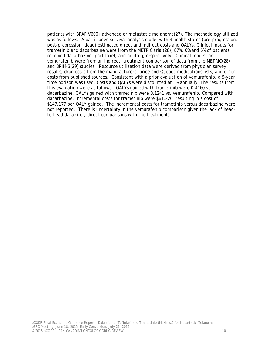patients with BRAF V600+ advanced or metastatic melanoma(27). The methodology utilized was as follows. A partitioned survival analysis model with 3 health states (pre-progression, post-progression, dead) estimated direct and indirect costs and QALYs. Clinical inputs for trametinib and dacarbazine were from the METRIC trial(28), 87%, 6% and 6% of patients received dacarbazine, paclitaxel, and no drug, respectively. Clinical inputs for vemurafenib were from an indirect, treatment comparison of data from the METRIC(28) and BRIM-3(29) studies. Resource utilization data were derived from physician survey results, drug costs from the manufacturers' price and Quebéc medications lists, and other costs from published sources. Consistent with a prior evaluation of vemurafenib, a 5-year time horizon was used. Costs and QALYs were discounted at 5% annually. The results from this evaluation were as follows. QALYs gained with trametinib were 0.4160 vs. dacarbazine. QALYs gained with trametinib were 0.1241 vs. vemurafenib. Compared with dacarbazine, incremental costs for trametinib were \$61,226, resulting in a cost of \$147,177 per QALY gained. The incremental costs for trametinib versus dacarbazine were not reported. There is uncertainty in the vemurafenib comparison given the lack of headto head data (i.e., direct comparisons with the treatment).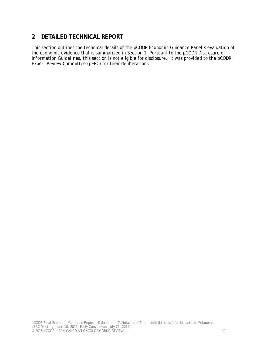# **2 DETAILED TECHNICAL REPORT**

This section outlines the technical details of the pCODR Economic Guidance Panel's evaluation of the economic evidence that is summarized in Section 1. Pursuant to the *pCODR Disclosure of Information Guidelines*, this section is not eligible for disclosure. It was provided to the pCODR Expert Review Committee (pERC) for their deliberations.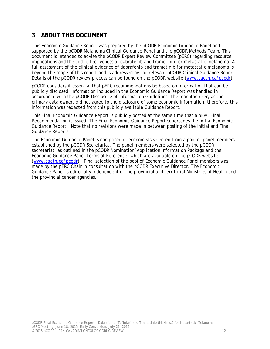# **3 ABOUT THIS DOCUMENT**

This Economic Guidance Report was prepared by the pCODR Economic Guidance Panel and supported by the pCODR Melanoma Clinical Guidance Panel and the pCODR Methods Team. This document is intended to advise the pCODR Expert Review Committee (pERC) regarding resource implications and the cost-effectiveness of dabrafenib and trametinib for metastatic melanoma. A full assessment of the clinical evidence of dabrafenib and trametinib for metastatic melanoma is beyond the scope of this report and is addressed by the relevant pCODR Clinical Guidance Report. Details of the pCODR review process can be found on the pCODR website (www.cadth.ca/pcodr).

pCODR considers it essential that pERC recommendations be based on information that can be publicly disclosed. Information included in the Economic Guidance Report was handled in accordance with the *pCODR Disclosure of Information Guidelines*. The manufacturer, as the primary data owner, did not agree to the disclosure of some economic information, therefore, this information was redacted from this publicly available Guidance Report.

This Final Economic Guidance Report is publicly posted at the same time that a pERC Final Recommendation is issued. The Final Economic Guidance Report supersedes the Initial Economic Guidance Report. Note that no revisions were made in between posting of the Initial and Final Guidance Reports.

The Economic Guidance Panel is comprised of economists selected from a pool of panel members established by the pCODR Secretariat. The panel members were selected by the pCODR secretariat, as outlined in the pCODR Nomination/Application Information Package and the Economic Guidance Panel Terms of Reference, which are available on the pCODR website (www.cadth.ca/pcodr). Final selection of the pool of Economic Guidance Panel members was made by the pERC Chair in consultation with the pCODR Executive Director. The Economic Guidance Panel is editorially independent of the provincial and territorial Ministries of Health and the provincial cancer agencies.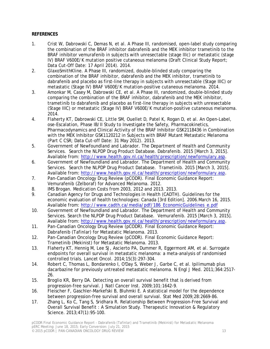#### **REFERENCES**

- 1. Crist W, Dabrowski C, Demas N, et al. A Phase III, randomised, open-label study comparing the combination of the BRAF inhibitor dabrafenib and the MEK inhibitor trametinib to the BRAF inhibitor vemurafenib in subjects with unresectable (stage IIIc) or metastatic (stage IV) BRAF V600E/K mutation positive cutaneous melanoma (Draft Clinical Study Report; Data Cut-Off Date: 17 April 2014). 2014.
- 2. GlaxoSmithKline. A Phase III, randomized, double-blinded study comparing the combination of the BRAF inhibitor, dabrafenib and the MEK inhibitor, trametinib to dabrafenib and placebo as first-line therapy in subjects with unresectable (Stage IIIC) or metastatic (Stage IV) BRAF V600E/K mutation-positive cutaneous melanoma. 2014.
- 3. Amonkar M, Casey M, Dabrowski CE, et al. A Phase III, randomized, double-blinded study comparing the combination of the BRAF inhibitor, dabrafenib and the MEK inhibitor, trametinib to dabrafenib and placebo as first-line therapy in subjects with unresectable (Stage IIIC) or metastatic (Stage IV) BRAF V600E/K mutation-positive cutaneous melanoma. 2014.
- 4. Flaherty KT, Dabrowski CE, Little SM, Ouellet D, Patel K, Rogan D, et al. An Open-Label, ose-Escalation, Phase IB/II Study to Investigate the Safety, Pharmacokinetics, Pharmacodynamics and Clinical Activity of the BRAF Inhibitor GSK2118436 in Combination with the MEK Inhibitor GSK1120212 in Subjects with BRAF Mutant Metastatic Melanoma (Part C CSR; Data Cut-off Date: 31 May 2012). 2013.
- 5. Government of Newfoundland and Labrador. The Department of Health and Community Services. Search the NLPDP Drug Product Database. Dabrafenib. 2015 [March 3, 2015]. Available from: http://www.health.gov.nl.ca/health/prescription/newformulary.asp.
- 6. Government of Newfoundland and Labrador. The Department of Health and Community Services. Search the NLPDP Drug Product Database. Trametinib. 2015 [March 3, 2015]. Available from: http://www.health.gov.nl.ca/health/prescription/newformulary.asp.
- 7. Pan-Canadian Oncology Drug Review (pCODR). Final Economic Guidance Report: Vemurafenib (Zelboraf) for Advanced Melanoma. 2012.
- 8. IMS Brogan. Medication Costs from 2003, 2012 and 2013. 2013.
- 9. Canadian Agency for Drugs and Technologies in Health (CADTH). Guidelines for the economic evaluation of health technologies: Canada [3rd Edition]. 2006.March 16, 2015. Available from: http://www.cadth.ca/media/pdf/186 EconomicGuidelines e.pdf
- 10. Government of Newfoundland and Labrador. The Department of Health and Community Services. Search the NLPDP Drug Product Database. Vemurafenib. 2015 [March 3, 2015]. Available from: http://www.health.gov.nl.ca/health/prescription/newformulary.asp.
- 11. Pan-Canadian Oncology Drug Review (pCODR). Final Economic Guidance Report: Dabrafenib (Tafinlar) for Metastatic Melanoma. 2013.
- 12. Pan-Canadian Oncology Drug Review (pCODR). Final Economic Guidance Report: Trametinib (Mekinist) for Metastatic Melanoma. 2013.
- 13. Flaherty KT, Hennig M, Lee SJ, Ascierto PA, Dummer R, Eggermont AM, et al. Surrogate endpoints for overall survival in metastatic melanoma: a meta-analysis of randomised controlled trials. Lancet Oncol. 2014;15(3):297-304.
- 14. Robert C, Thomas L, Bondarenko I, O'Day S, Weber J, Garbe C, et al. Ipilimumab plus dacarbazine for previously untreated metastatic melanoma. N Engl J Med. 2011;364:2517- 26.
- 15. Broglio KR, Berry DA. Detecting an overall survival benefit that is derived from progression-free survival. J Natl Cancer Inst. 2009;101:1642-9.
- 16. Fleischer F, Gaschler-Markefski B, Bluhmki E. A statistical model for the dependence between progression-free survival and overall survival. Stat Med 2009;28:2669-86.
- 17. Zhang L, Ko C, Tang S, Sridhara R. Relationship Between Progression-Free Survival and Overall Survival Benefit : A Simulation Study. Therapeutic Innovation & Regulatory Science. 2013;47(1):95-100.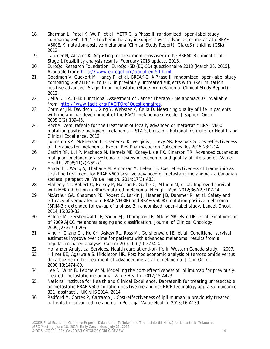- 18. Sherman L, Patel K, Wu F, et al. METRIC, a Phase III randomized, open-label study comparing GSK1120212 to chemotherapy in subjects with advanced or metastatic BRAF V600E/K mutation-positive melanoma (Clinical Study Report). GlaxoSmithKline (GSK). 2012.
- 19. Latimer N, Abrams K. Adjusting for treatment crossover in the BREAK-3 clinical trial Stage 1 feasibility analysis results, February 2013 update. 2013.
- 20. EuroQol Research Foundation. EuroQol-5D (EQ-5D) questionnaire 2013 [March 26, 2015]. Available from: http://www.euroqol.org/about-eq-5d.html.
- 21. Goodman V, Guckert M, Haney P, et al. BREAK-3, A Phase III randomized, open-label study comparing GSK2118436 to DTIC in previously untreated subjects with BRAF mutation positive advanced (Stage III) or metastatic (Stage IV) melanoma (Clinical Study Report). 2012.
- 22. Cella D. FACT-M: Functional Assessment of Cancer Therapy Melanoma2007. Available from: http://www.facit.org/FACITOrg/Questionnaires.
- 23. Cormier JN, Davidson L, Xing Y, Webster K, Cella D. Measuring quality of life in patients with melanoma: development of the FACT-melanoma subscale. J Support Oncol. 2005;3(2):139-45.
- 24. Roche. Vemurafenib for the treatment of locally advanced or metastatic BRAF V600 mutation positive malignant melanoma -- STA Submission. National Institute for Health and Clinical Excellence. 2012.
- 25. Johnston KM, McPherson E, Osenenko K, Vergidis J, Levy AR, Peacock S. Cost-effectiveness of therapies for melanoma. Expert Rev Pharmacoecon Outcomes Res 2015;23:1-14.
- 26. Cashin RP, Lui P, Machado M, Hemels ME, Corey-Lisle PK, Einarson TR. Advanced cutaneous malignant melanoma: a systematic review of economic and quality-of-life studies. Value Health. 2008;11(2):259-71.
- 27. Amdahl J, Wang A, Thabane M, Amonkar M, Delea TE. Cost effectiveness of trametinib as first-line treatment for BRAF V600 positive advanced or metastatic melanoma - a Canadian societal perspective. Value Health. 2014;17(3):A83.
- 28. Flaherty KT, Robert C, Hersey P, Nathan P, Garbe C, Milhem M, et al. Improved survival with MEK inhibition in BRAF-mutated melanoma. N Engl J Med 2012;367(2):107-14.
- 29. McArthur GA, Chapman PB, Robert C, Larkin J, Haanen JB, Dummer R, et al. Safety and efficacy of vemurafenib in BRAF(V600E) and BRAF(V600K) mutation-positive melanoma (BRIM-3): extended follow-up of a phase 3, randomised, open-label study. Lancet Oncol. 2014;15:323-32.
- 30. Balch CM, Gershenwald JE, Soong SJ, Thompson JF, Atkins MB, Byrd DR, et al. Final version of 2009 AJCC melanoma staging and classification. Journal of Clinical Oncology. 2009;;27:6199-206
- 31. Xing Y, Chang GJ, Hu CY, Askew RL, Ross MI, Gershenwald JE, et al. Conditional survival estimates improve over time for patients with advanced melanoma: results from a population-based analysis. Cancer 2010;116(9):2234-41.
- 32. Hollander Analytical Services. Health care at end-of-life in Western Canada study. . 2007.
- 33. Hillner BE, Agarwala S, Middleton MR. Post hoc economic analysis of temozolomide versus dacarbazine in the treatment of advanced metastatic melanoma. J Clin Oncol. 2000;18:1474-80.
- 34. Lee D, Winn B, Lebmeier M. Modelling the cost-effectiveness of ipilimumab for previouslytreated, metastatic melanoma. Value Health. 2012;15:A423.
- 35. National Institute for Health and Clinical Excellence. Dabrafenib for treating unresectable or metastatic BRAF V600 mutation-positive melanoma: NICE technology appraisal guidance 321 [abstract]. UK NHS 2014. 2014.
- 36. Radford M, Cortes P, Carrasco J. Cost-effectiveness of ipilimumab in previously treated patients for advanced melanoma in Portugal Value Health. 2013;16:A139.